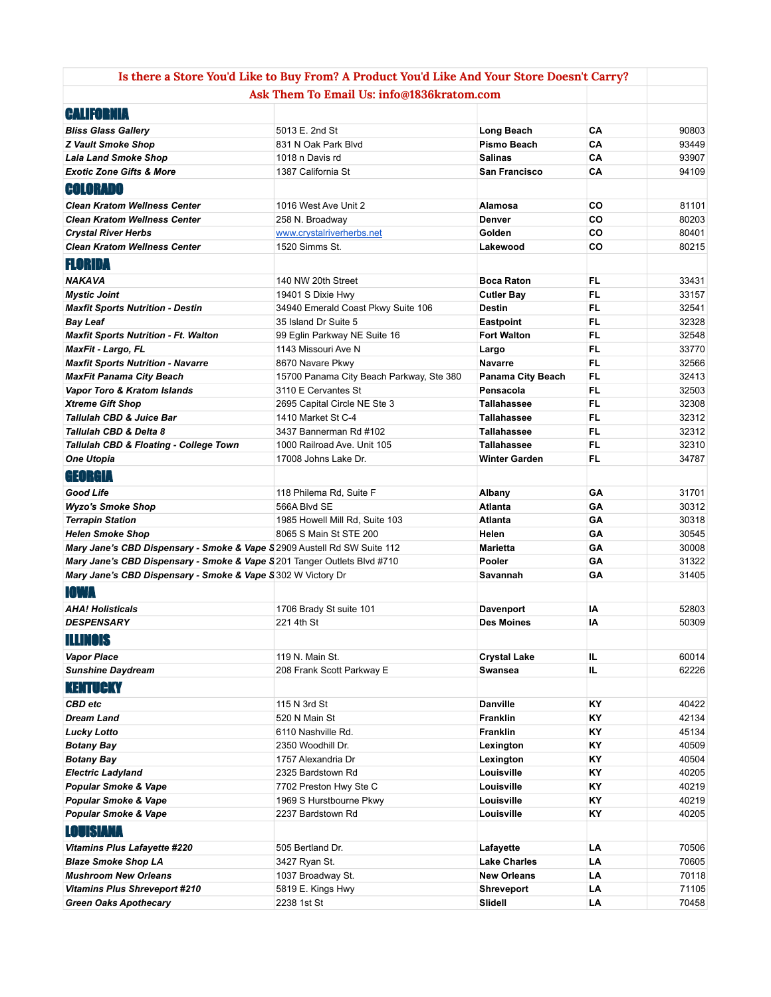|                                                                          | Is there a Store You'd Like to Buy From? A Product You'd Like And Your Store Doesn't Carry? |                                    |                 |                |
|--------------------------------------------------------------------------|---------------------------------------------------------------------------------------------|------------------------------------|-----------------|----------------|
|                                                                          | Ask Them To Email Us: info@1836kratom.com                                                   |                                    |                 |                |
| <b>CALIFORNIA</b>                                                        |                                                                                             |                                    |                 |                |
| <b>Bliss Glass Gallery</b>                                               | 5013 E. 2nd St                                                                              | Long Beach                         | CA              | 90803          |
| <b>Z Vault Smoke Shop</b>                                                | 831 N Oak Park Blvd                                                                         | Pismo Beach                        | CA              | 93449          |
| <b>Lala Land Smoke Shop</b>                                              | 1018 n Davis rd                                                                             | <b>Salinas</b>                     | CA              | 93907          |
| <b>Exotic Zone Gifts &amp; More</b>                                      | 1387 California St                                                                          | San Francisco                      | CA              | 94109          |
| <b>COLORADO</b>                                                          |                                                                                             |                                    |                 |                |
| <b>Clean Kratom Wellness Center</b>                                      | 1016 West Ave Unit 2                                                                        | Alamosa                            | CO              | 81101          |
| <b>Clean Kratom Wellness Center</b>                                      | 258 N. Broadway                                                                             | <b>Denver</b>                      | CO              | 80203          |
| <b>Crystal River Herbs</b>                                               | www.crystalriverherbs.net                                                                   | Golden                             | CO              | 80401          |
| <b>Clean Kratom Wellness Center</b>                                      | 1520 Simms St.                                                                              | Lakewood                           | CO              | 80215          |
| <b>FLORIDA</b>                                                           |                                                                                             |                                    |                 |                |
|                                                                          |                                                                                             |                                    |                 |                |
| <b>NAKAVA</b>                                                            | 140 NW 20th Street                                                                          | <b>Boca Raton</b>                  | <b>FL</b>       | 33431          |
| <b>Mystic Joint</b>                                                      | 19401 S Dixie Hwy                                                                           | <b>Cutler Bay</b><br><b>Destin</b> | FL.<br>FL.      | 33157<br>32541 |
| <b>Maxfit Sports Nutrition - Destin</b><br><b>Bay Leaf</b>               | 34940 Emerald Coast Pkwy Suite 106<br>35 Island Dr Suite 5                                  | <b>Eastpoint</b>                   | FL.             | 32328          |
| <b>Maxfit Sports Nutrition - Ft. Walton</b>                              | 99 Eglin Parkway NE Suite 16                                                                | <b>Fort Walton</b>                 | FL              | 32548          |
| <b>MaxFit - Largo, FL</b>                                                | 1143 Missouri Ave N                                                                         | Largo                              | FL.             | 33770          |
| <b>Maxfit Sports Nutrition - Navarre</b>                                 | 8670 Navare Pkwy                                                                            | <b>Navarre</b>                     | <b>FL</b>       | 32566          |
| <b>MaxFit Panama City Beach</b>                                          | 15700 Panama City Beach Parkway, Ste 380                                                    | Panama City Beach                  | FL.             | 32413          |
| Vapor Toro & Kratom Islands                                              | 3110 E Cervantes St                                                                         | Pensacola                          | FL.             | 32503          |
| <b>Xtreme Gift Shop</b>                                                  | 2695 Capital Circle NE Ste 3                                                                | <b>Tallahassee</b>                 | FL.             | 32308          |
| <b>Tallulah CBD &amp; Juice Bar</b>                                      | 1410 Market St C-4                                                                          | <b>Tallahassee</b>                 | FL.             | 32312          |
| <b>Tallulah CBD &amp; Delta 8</b>                                        | 3437 Bannerman Rd #102                                                                      | <b>Tallahassee</b>                 | FL.             | 32312          |
| Tallulah CBD & Floating - College Town                                   | 1000 Railroad Ave. Unit 105                                                                 | <b>Tallahassee</b>                 | FL.             | 32310          |
| <b>One Utopia</b>                                                        | 17008 Johns Lake Dr.                                                                        | <b>Winter Garden</b>               | FL.             | 34787          |
| GEORGIA                                                                  |                                                                                             |                                    |                 |                |
| <b>Good Life</b>                                                         | 118 Philema Rd, Suite F                                                                     | Albany                             | GΑ              | 31701          |
| <b>Wyzo's Smoke Shop</b>                                                 | 566A Blvd SE                                                                                | Atlanta                            | GA              | 30312          |
| <b>Terrapin Station</b>                                                  | 1985 Howell Mill Rd, Suite 103                                                              | Atlanta                            | GA              | 30318          |
| <b>Helen Smoke Shop</b>                                                  | 8065 S Main St STE 200                                                                      | Helen                              | GA              | 30545          |
| Mary Jane's CBD Dispensary - Smoke & Vape S 2909 Austell Rd SW Suite 112 |                                                                                             | <b>Marietta</b>                    | GA              | 30008          |
| Mary Jane's CBD Dispensary - Smoke & Vape S 201 Tanger Outlets Blvd #710 |                                                                                             | Pooler                             | GA              | 31322          |
| Mary Jane's CBD Dispensary - Smoke & Vape S 302 W Victory Dr             |                                                                                             | Savannah                           | GA              | 31405          |
| IOWA                                                                     |                                                                                             |                                    |                 |                |
| <b>AHA! Holisticals</b>                                                  | 1706 Brady St suite 101                                                                     | Davenport                          | IA              | 52803          |
| <b>DESPENSARY</b>                                                        | 221 4th St                                                                                  | <b>Des Moines</b>                  | IA              | 50309          |
| <b>ILLINOIS</b>                                                          |                                                                                             |                                    |                 |                |
| <b>Vapor Place</b>                                                       | 119 N. Main St.                                                                             | <b>Crystal Lake</b>                | IL.             | 60014          |
| <b>Sunshine Daydream</b>                                                 | 208 Frank Scott Parkway E                                                                   | <b>Swansea</b>                     | IL.             | 62226          |
| <b>KENTUCKY</b>                                                          |                                                                                             |                                    |                 |                |
|                                                                          |                                                                                             |                                    |                 |                |
| CBD etc                                                                  | 115 N 3rd St                                                                                | <b>Danville</b>                    | <b>KY</b>       | 40422          |
| <b>Dream Land</b>                                                        | 520 N Main St                                                                               | <b>Franklin</b><br><b>Franklin</b> | <b>KY</b>       | 42134          |
| <b>Lucky Lotto</b><br><b>Botany Bay</b>                                  | 6110 Nashville Rd.<br>2350 Woodhill Dr.                                                     |                                    | <b>KY</b><br>ΚY | 45134<br>40509 |
| <b>Botany Bay</b>                                                        | 1757 Alexandria Dr                                                                          | Lexington<br>Lexington             | ΚY              | 40504          |
| <b>Electric Ladyland</b>                                                 | 2325 Bardstown Rd                                                                           | Louisville                         | <b>KY</b>       | 40205          |
| Popular Smoke & Vape                                                     | 7702 Preston Hwy Ste C                                                                      | Louisville                         | <b>KY</b>       | 40219          |
| Popular Smoke & Vape                                                     | 1969 S Hurstbourne Pkwy                                                                     | Louisville                         | <b>KY</b>       | 40219          |
| Popular Smoke & Vape                                                     | 2237 Bardstown Rd                                                                           | Louisville                         | ΚY              | 40205          |
| LOUISIANA                                                                |                                                                                             |                                    |                 |                |
|                                                                          |                                                                                             |                                    |                 |                |
| <b>Vitamins Plus Lafayette #220</b><br><b>Blaze Smoke Shop LA</b>        | 505 Bertland Dr.<br>3427 Ryan St.                                                           | Lafayette<br><b>Lake Charles</b>   | LA<br>LA        | 70506<br>70605 |
| <b>Mushroom New Orleans</b>                                              | 1037 Broadway St.                                                                           | <b>New Orleans</b>                 | LA              | 70118          |
| <b>Vitamins Plus Shreveport #210</b>                                     | 5819 E. Kings Hwy                                                                           | <b>Shreveport</b>                  | LA              | 71105          |
| <b>Green Oaks Apothecary</b>                                             | 2238 1st St                                                                                 | Slidell                            | LA              | 70458          |
|                                                                          |                                                                                             |                                    |                 |                |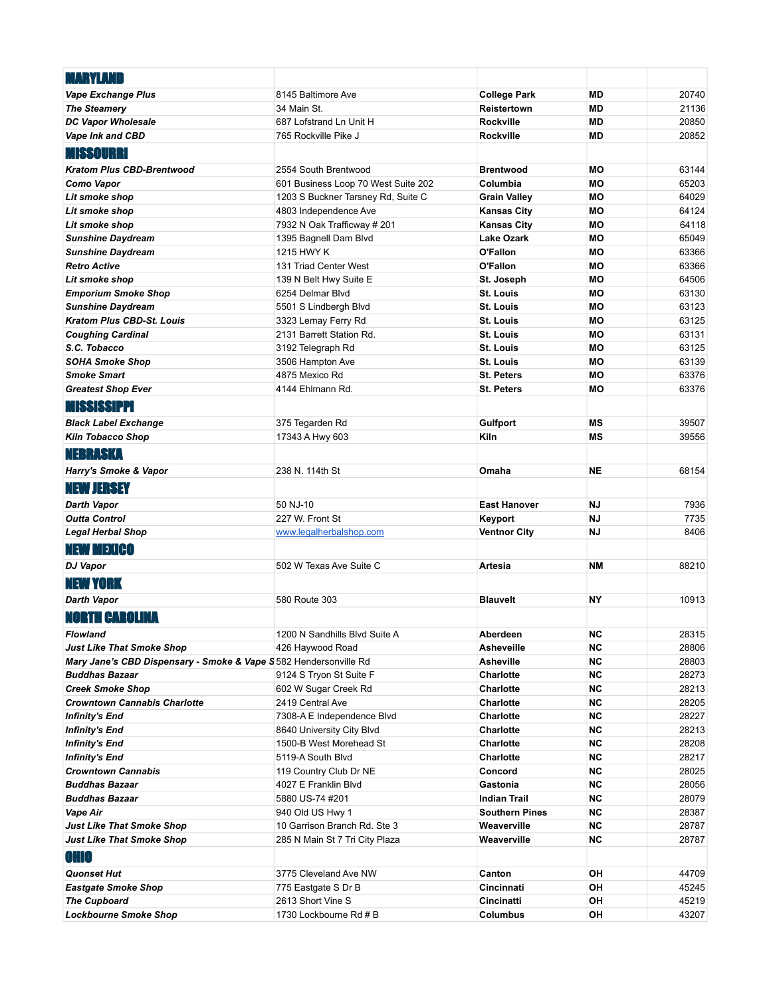| <b>MARYLAND</b>                                                   |                                                 |                               |                 |                |
|-------------------------------------------------------------------|-------------------------------------------------|-------------------------------|-----------------|----------------|
| <b>Vape Exchange Plus</b>                                         | 8145 Baltimore Ave                              | <b>College Park</b>           | <b>MD</b>       | 20740          |
| <b>The Steamery</b>                                               | 34 Main St.                                     | Reistertown                   | <b>MD</b>       | 21136          |
| <b>DC Vapor Wholesale</b>                                         | 687 Lofstrand Ln Unit H                         | Rockville                     | <b>MD</b>       | 20850          |
| Vape Ink and CBD                                                  | 765 Rockville Pike J                            | Rockville                     | <b>MD</b>       | 20852          |
| <b>MISSOURRI</b>                                                  |                                                 |                               |                 |                |
| <b>Kratom Plus CBD-Brentwood</b>                                  | 2554 South Brentwood                            | Brentwood                     | <b>MO</b>       | 63144          |
| Como Vapor                                                        | 601 Business Loop 70 West Suite 202             | Columbia                      | <b>MO</b>       | 65203          |
| Lit smoke shop                                                    | 1203 S Buckner Tarsney Rd, Suite C              | Grain Valley                  | MО              | 64029          |
| Lit smoke shop                                                    | 4803 Independence Ave                           | Kansas City                   | МO              | 64124          |
| Lit smoke shop                                                    | 7932 N Oak Trafficway # 201                     | <b>Kansas City</b>            | МO              | 64118          |
| <b>Sunshine Daydream</b>                                          | 1395 Bagnell Dam Blvd                           | <b>Lake Ozark</b>             | <b>MO</b>       | 65049          |
| <b>Sunshine Daydream</b>                                          | 1215 HWY K                                      | O'Fallon                      | MО              | 63366          |
| <b>Retro Active</b>                                               | 131 Triad Center West                           | O'Fallon                      | MО              | 63366          |
| Lit smoke shop                                                    | 139 N Belt Hwy Suite E                          | St. Joseph                    | МO              | 64506          |
| <b>Emporium Smoke Shop</b>                                        | 6254 Delmar Blvd                                | <b>St. Louis</b>              | <b>MO</b>       | 63130          |
| <b>Sunshine Daydream</b>                                          | 5501 S Lindbergh Blvd                           | St. Louis                     | <b>MO</b>       | 63123          |
| <b>Kratom Plus CBD-St. Louis</b><br><b>Coughing Cardinal</b>      | 3323 Lemay Ferry Rd<br>2131 Barrett Station Rd. | St. Louis<br><b>St. Louis</b> | <b>MO</b><br>МO | 63125<br>63131 |
| S.C. Tobacco                                                      | 3192 Telegraph Rd                               | <b>St. Louis</b>              | MО              | 63125          |
| <b>SOHA Smoke Shop</b>                                            | 3506 Hampton Ave                                | St. Louis                     | <b>MO</b>       | 63139          |
| <b>Smoke Smart</b>                                                | 4875 Mexico Rd                                  | <b>St. Peters</b>             | МO              | 63376          |
| <b>Greatest Shop Ever</b>                                         | 4144 Ehlmann Rd.                                | <b>St. Peters</b>             | <b>MO</b>       | 63376          |
| <b>MISSISSIPPI</b>                                                |                                                 |                               |                 |                |
|                                                                   | 375 Tegarden Rd                                 | Gulfport                      | <b>MS</b>       | 39507          |
| <b>Black Label Exchange</b><br><b>Kiln Tobacco Shop</b>           | 17343 A Hwy 603                                 | Kiln                          | <b>MS</b>       | 39556          |
|                                                                   |                                                 |                               |                 |                |
| NEBRASKA                                                          |                                                 |                               |                 |                |
| Harry's Smoke & Vapor                                             | 238 N. 114th St                                 | Omaha                         | <b>NE</b>       | 68154          |
| <b>NEW JERSEY</b>                                                 |                                                 |                               |                 |                |
| <b>Darth Vapor</b>                                                | 50 NJ-10                                        | <b>East Hanover</b>           | <b>NJ</b>       | 7936           |
| <b>Outta Control</b>                                              | 227 W. Front St                                 | Keyport                       | <b>NJ</b>       | 7735           |
| <b>Legal Herbal Shop</b>                                          | www.legalherbalshop.com                         | <b>Ventnor City</b>           | <b>NJ</b>       | 8406           |
| <b>NEW MEXICO</b>                                                 |                                                 |                               |                 |                |
| <b>DJ Vapor</b>                                                   | 502 W Texas Ave Suite C                         | Artesia                       | <b>NM</b>       | 88210          |
| <b>NEW YORK</b>                                                   |                                                 |                               |                 |                |
| <b>Darth Vapor</b>                                                | 580 Route 303                                   | <b>Blauvelt</b>               | NΥ              | 10913          |
| <b>NORTH CAROLINA</b>                                             |                                                 |                               |                 |                |
| Flowland                                                          | 1200 N Sandhills Blvd Suite A                   | Aberdeen                      | <b>NC</b>       | 28315          |
| <b>Just Like That Smoke Shop</b>                                  | 426 Haywood Road                                | Asheveille                    | <b>NC</b>       | 28806          |
| Mary Jane's CBD Dispensary - Smoke & Vape S 582 Hendersonville Rd |                                                 | Asheville                     | <b>NC</b>       | 28803          |
| <b>Buddhas Bazaar</b>                                             | 9124 S Tryon St Suite F                         | Charlotte                     | <b>NC</b>       | 28273          |
| <b>Creek Smoke Shop</b>                                           | 602 W Sugar Creek Rd                            | Charlotte                     | <b>NC</b>       | 28213          |
| <b>Crowntown Cannabis Charlotte</b>                               | 2419 Central Ave                                | Charlotte                     | <b>NC</b>       | 28205          |
| <b>Infinity's End</b>                                             | 7308-A E Independence Blvd                      | Charlotte                     | <b>NC</b>       | 28227          |
| Infinity's End                                                    | 8640 University City Blvd                       | Charlotte                     | <b>NC</b>       | 28213          |
| Infinity's End                                                    | 1500-B West Morehead St                         | Charlotte                     | <b>NC</b>       | 28208          |
| <b>Infinity's End</b>                                             | 5119-A South Blvd                               | Charlotte                     | <b>NC</b>       | 28217          |
| <b>Crowntown Cannabis</b>                                         | 119 Country Club Dr NE                          | Concord                       | <b>NC</b>       | 28025          |
| <b>Buddhas Bazaar</b>                                             | 4027 E Franklin Blvd                            | Gastonia                      | <b>NC</b>       | 28056          |
| <b>Buddhas Bazaar</b>                                             | 5880 US-74 #201                                 | <b>Indian Trail</b>           | <b>NC</b>       | 28079          |
| Vape Air                                                          | 940 Old US Hwy 1                                | <b>Southern Pines</b>         | <b>NC</b>       | 28387          |
| <b>Just Like That Smoke Shop</b>                                  | 10 Garrison Branch Rd. Ste 3                    | Weaverville                   | ΝC              | 28787          |
| <b>Just Like That Smoke Shop</b>                                  | 285 N Main St 7 Tri City Plaza                  | Weaverville                   | <b>NC</b>       | 28787          |
| OHIO                                                              |                                                 |                               |                 |                |
| <b>Quonset Hut</b>                                                | 3775 Cleveland Ave NW                           | Canton                        | OH              | 44709          |
| <b>Eastgate Smoke Shop</b>                                        | 775 Eastgate S Dr B                             | Cincinnati                    | OH              | 45245          |
| <b>The Cupboard</b>                                               | 2613 Short Vine S                               | Cincinatti                    | OH              | 45219          |
| <b>Lockbourne Smoke Shop</b>                                      | 1730 Lockbourne Rd # B                          | Columbus                      | OH              | 43207          |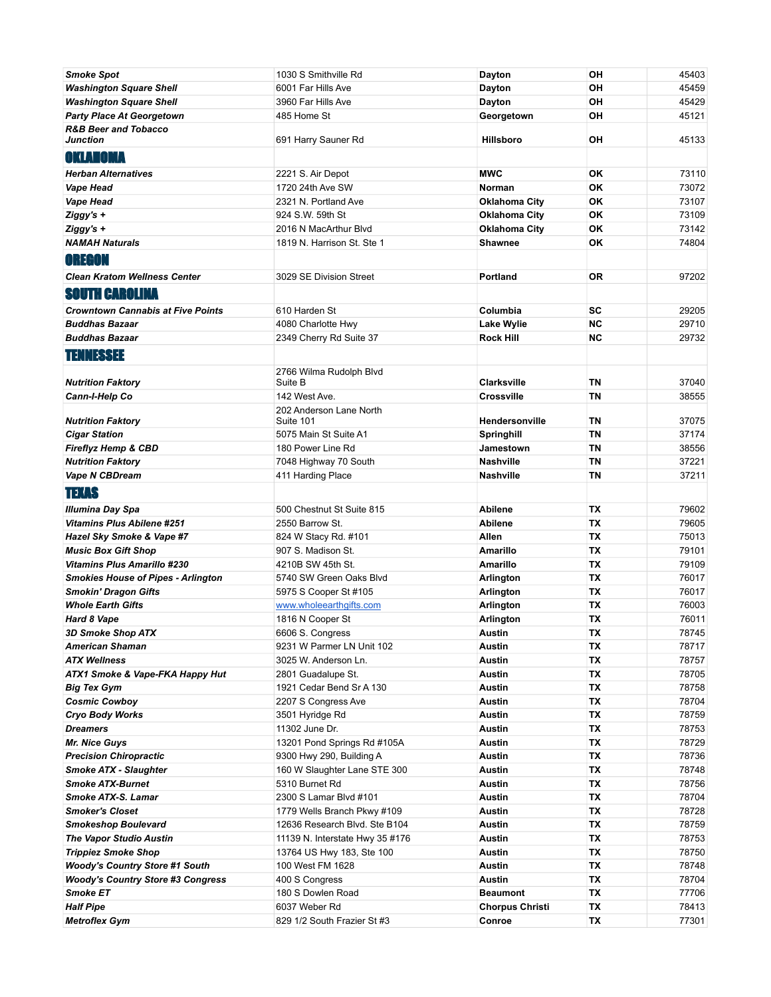| <b>Smoke Spot</b>                           | 1030 S Smithville Rd                 | Dayton                 | OH        | 45403 |
|---------------------------------------------|--------------------------------------|------------------------|-----------|-------|
| <b>Washington Square Shell</b>              | 6001 Far Hills Ave                   | Dayton                 | OH        | 45459 |
| <b>Washington Square Shell</b>              | 3960 Far Hills Ave                   | Dayton                 | OH        | 45429 |
| <b>Party Place At Georgetown</b>            | 485 Home St                          | Georgetown             | OH        | 45121 |
| <b>R&amp;B Beer and Tobacco</b><br>Junction | 691 Harry Sauner Rd                  | <b>Hillsboro</b>       | OH        | 45133 |
| OKLAHOMA                                    |                                      |                        |           |       |
| <b>Herban Alternatives</b>                  | 2221 S. Air Depot                    | <b>MWC</b>             | OK        | 73110 |
| Vape Head                                   | 1720 24th Ave SW                     | <b>Norman</b>          | OK        | 73072 |
| Vape Head                                   | 2321 N. Portland Ave                 | <b>Oklahoma City</b>   | OK        | 73107 |
| Ziggy's +                                   | 924 S.W. 59th St                     | <b>Oklahoma City</b>   | OK        | 73109 |
| $Ziggy's +$                                 | 2016 N MacArthur Blvd                | <b>Oklahoma City</b>   | OK        | 73142 |
| <b>NAMAH Naturals</b>                       | 1819 N. Harrison St. Ste 1           | <b>Shawnee</b>         | OK        | 74804 |
| <b>OREGON</b>                               |                                      |                        |           |       |
| <b>Clean Kratom Wellness Center</b>         | 3029 SE Division Street              | Portland               | <b>OR</b> | 97202 |
| <b>SOUTH CAROLINA</b>                       |                                      |                        |           |       |
| <b>Crowntown Cannabis at Five Points</b>    | 610 Harden St                        | Columbia               | SC        | 29205 |
| <b>Buddhas Bazaar</b>                       | 4080 Charlotte Hwy                   | Lake Wylie             | <b>NC</b> | 29710 |
| <b>Buddhas Bazaar</b>                       | 2349 Cherry Rd Suite 37              | <b>Rock Hill</b>       | <b>NC</b> | 29732 |
|                                             |                                      |                        |           |       |
| <b>TENNESSEE</b>                            |                                      |                        |           |       |
|                                             | 2766 Wilma Rudolph Blvd              |                        |           |       |
| <b>Nutrition Faktory</b>                    | Suite B                              | <b>Clarksville</b>     | ΤN        | 37040 |
| Cann-I-Help Co                              | 142 West Ave.                        | <b>Crossville</b>      | <b>TN</b> | 38555 |
| <b>Nutrition Faktory</b>                    | 202 Anderson Lane North<br>Suite 101 | Hendersonville         | ΤN        | 37075 |
| <b>Cigar Station</b>                        | 5075 Main St Suite A1                | Springhill             | <b>TN</b> | 37174 |
| Fireflyz Hemp & CBD                         | 180 Power Line Rd                    | Jamestown              | ΤN        | 38556 |
| <b>Nutrition Faktory</b>                    | 7048 Highway 70 South                | Nashville              | ΤN        | 37221 |
| Vape N CBDream                              | 411 Harding Place                    | Nashville              | <b>TN</b> | 37211 |
| <b>TEXAS</b>                                |                                      |                        |           |       |
| Illumina Day Spa                            | 500 Chestnut St Suite 815            | <b>Abilene</b>         | ТX        | 79602 |
| <b>Vitamins Plus Abilene #251</b>           | 2550 Barrow St.                      | <b>Abilene</b>         | <b>TX</b> | 79605 |
| Hazel Sky Smoke & Vape #7                   | 824 W Stacy Rd. #101                 | Allen                  | <b>TX</b> | 75013 |
| <b>Music Box Gift Shop</b>                  | 907 S. Madison St.                   | <b>Amarillo</b>        | TX        | 79101 |
| <b>Vitamins Plus Amarillo #230</b>          | 4210B SW 45th St.                    | <b>Amarillo</b>        | <b>TX</b> | 79109 |
| <b>Smokies House of Pipes - Arlington</b>   | 5740 SW Green Oaks Blvd              | Arlington              | <b>TX</b> | 76017 |
| <b>Smokin' Dragon Gifts</b>                 | 5975 S Cooper St #105                | Arlington              | ТX        | 76017 |
| <b>Whole Earth Gifts</b>                    | www.wholeearthgifts.com              | Arlington              | ТX        | 76003 |
| Hard 8 Vape                                 | 1816 N Cooper St                     | <b>Arlington</b>       | TX        | 76011 |
| <b>3D Smoke Shop ATX</b>                    | 6606 S. Congress                     | <b>Austin</b>          | TX        | 78745 |
| <b>American Shaman</b>                      | 9231 W Parmer LN Unit 102            | Austin                 | ТX        | 78717 |
| <b>ATX Wellness</b>                         | 3025 W. Anderson Ln.                 | <b>Austin</b>          | ТX        | 78757 |
| ATX1 Smoke & Vape-FKA Happy Hut             | 2801 Guadalupe St.                   | <b>Austin</b>          | ТX        | 78705 |
| <b>Big Tex Gym</b>                          | 1921 Cedar Bend Sr A 130             | Austin                 | TX        | 78758 |
| <b>Cosmic Cowboy</b>                        | 2207 S Congress Ave                  | <b>Austin</b>          | TX        | 78704 |
| <b>Cryo Body Works</b>                      | 3501 Hyridge Rd                      | <b>Austin</b>          | TX        | 78759 |
| <b>Dreamers</b>                             | 11302 June Dr.                       | <b>Austin</b>          | TX        | 78753 |
| <b>Mr. Nice Guys</b>                        | 13201 Pond Springs Rd #105A          | <b>Austin</b>          | ТX        | 78729 |
| <b>Precision Chiropractic</b>               | 9300 Hwy 290, Building A             | Austin                 | ТX        | 78736 |
| <b>Smoke ATX - Slaughter</b>                | 160 W Slaughter Lane STE 300         | <b>Austin</b>          | ТX        | 78748 |
| <b>Smoke ATX-Burnet</b>                     | 5310 Burnet Rd                       | <b>Austin</b>          | ТX        | 78756 |
| Smoke ATX-S. Lamar                          | 2300 S Lamar Blvd #101               | <b>Austin</b>          | ТX        | 78704 |
| <b>Smoker's Closet</b>                      | 1779 Wells Branch Pkwy #109          | <b>Austin</b>          | ТX        | 78728 |
| Smokeshop Boulevard                         | 12636 Research Blvd. Ste B104        | <b>Austin</b>          | ТX        | 78759 |
| <b>The Vapor Studio Austin</b>              | 11139 N. Interstate Hwy 35 #176      | Austin                 | ТX        | 78753 |
| <b>Trippiez Smoke Shop</b>                  | 13764 US Hwy 183, Ste 100            | <b>Austin</b>          | TX        | 78750 |
| <b>Woody's Country Store #1 South</b>       | 100 West FM 1628                     | <b>Austin</b>          | TX        | 78748 |
| <b>Woody's Country Store #3 Congress</b>    | 400 S Congress                       | <b>Austin</b>          | ТX        | 78704 |
| Smoke ET                                    | 180 S Dowlen Road                    | <b>Beaumont</b>        | ТX        | 77706 |
| <b>Half Pipe</b>                            | 6037 Weber Rd                        | <b>Chorpus Christi</b> | ТX        | 78413 |
| <b>Metroflex Gym</b>                        | 829 1/2 South Frazier St #3          | Conroe                 | TX        | 77301 |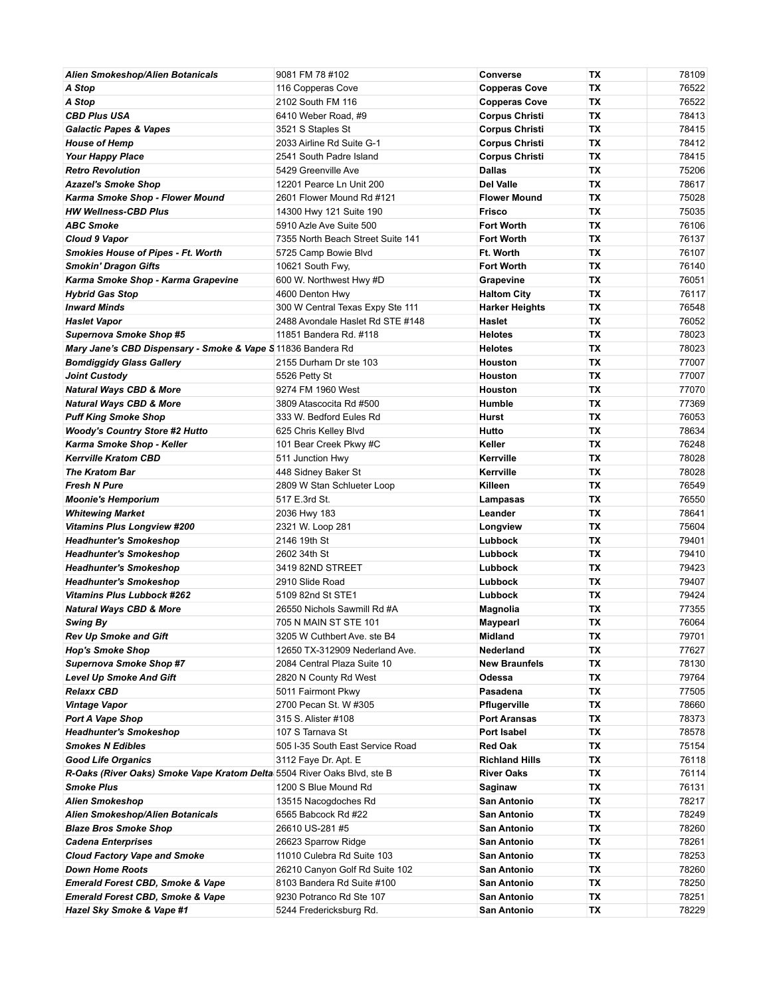| <b>Alien Smokeshop/Alien Botanicals</b>                                 | 9081 FM 78 #102                   | Converse              | ТX        | 78109 |
|-------------------------------------------------------------------------|-----------------------------------|-----------------------|-----------|-------|
| A Stop                                                                  | 116 Copperas Cove                 | <b>Copperas Cove</b>  | <b>TX</b> | 76522 |
| A Stop                                                                  | 2102 South FM 116                 | <b>Copperas Cove</b>  | <b>TX</b> | 76522 |
| <b>CBD Plus USA</b>                                                     | 6410 Weber Road, #9               | Corpus Christi        | <b>TX</b> | 78413 |
| <b>Galactic Papes &amp; Vapes</b>                                       | 3521 S Staples St                 | <b>Corpus Christi</b> | TX        | 78415 |
| <b>House of Hemp</b>                                                    | 2033 Airline Rd Suite G-1         | <b>Corpus Christi</b> | TX        | 78412 |
| <b>Your Happy Place</b>                                                 | 2541 South Padre Island           | Corpus Christi        | <b>TX</b> | 78415 |
| <b>Retro Revolution</b>                                                 | 5429 Greenville Ave               | <b>Dallas</b>         | <b>TX</b> | 75206 |
| <b>Azazel's Smoke Shop</b>                                              | 12201 Pearce Ln Unit 200          | Del Valle             | TX        | 78617 |
| Karma Smoke Shop - Flower Mound                                         | 2601 Flower Mound Rd #121         | <b>Flower Mound</b>   | ТX        | 75028 |
| <b>HW Wellness-CBD Plus</b>                                             | 14300 Hwy 121 Suite 190           | <b>Frisco</b>         | <b>TX</b> | 75035 |
| <b>ABC Smoke</b>                                                        | 5910 Azle Ave Suite 500           | <b>Fort Worth</b>     | <b>TX</b> | 76106 |
| Cloud 9 Vapor                                                           | 7355 North Beach Street Suite 141 | Fort Worth            | TX        | 76137 |
| <b>Smokies House of Pipes - Ft. Worth</b>                               | 5725 Camp Bowie Blvd              | Ft. Worth             | TX        | 76107 |
| <b>Smokin' Dragon Gifts</b>                                             | 10621 South Fwy,                  | Fort Worth            | <b>TX</b> | 76140 |
| Karma Smoke Shop - Karma Grapevine                                      | 600 W. Northwest Hwy #D           | Grapevine             | ТX        | 76051 |
| <b>Hybrid Gas Stop</b>                                                  | 4600 Denton Hwy                   | <b>Haltom City</b>    | TX        | 76117 |
| <b>Inward Minds</b>                                                     | 300 W Central Texas Expy Ste 111  | <b>Harker Heights</b> | <b>TX</b> | 76548 |
| <b>Haslet Vapor</b>                                                     | 2488 Avondale Haslet Rd STE #148  | Haslet                | <b>TX</b> | 76052 |
| <b>Supernova Smoke Shop #5</b>                                          | 11851 Bandera Rd. #118            | <b>Helotes</b>        | TX        | 78023 |
| Mary Jane's CBD Dispensary - Smoke & Vape S 11836 Bandera Rd            |                                   | <b>Helotes</b>        | ТX        | 78023 |
| <b>Bomdiggidy Glass Gallery</b>                                         | 2155 Durham Dr ste 103            | Houston               | <b>TX</b> | 77007 |
| <b>Joint Custody</b>                                                    | 5526 Petty St                     | Houston               | <b>TX</b> | 77007 |
| <b>Natural Ways CBD &amp; More</b>                                      | 9274 FM 1960 West                 | Houston               | TX        | 77070 |
| <b>Natural Ways CBD &amp; More</b>                                      | 3809 Atascocita Rd #500           | Humble                | <b>TX</b> | 77369 |
| <b>Puff King Smoke Shop</b>                                             | 333 W. Bedford Eules Rd           | Hurst                 | <b>TX</b> | 76053 |
| <b>Woody's Country Store #2 Hutto</b>                                   | 625 Chris Kelley Blvd             | Hutto                 | <b>TX</b> | 78634 |
| Karma Smoke Shop - Keller                                               | 101 Bear Creek Pkwy #C            | Keller                | <b>TX</b> | 76248 |
| <b>Kerrville Kratom CBD</b>                                             | 511 Junction Hwy                  | Kerrville             | <b>TX</b> | 78028 |
| <b>The Kratom Bar</b>                                                   | 448 Sidney Baker St               | Kerrville             | <b>TX</b> | 78028 |
| <b>Fresh N Pure</b>                                                     | 2809 W Stan Schlueter Loop        | Killeen               | <b>TX</b> | 76549 |
| <b>Moonie's Hemporium</b>                                               | 517 E.3rd St.                     | Lampasas              | TX        | 76550 |
| <b>Whitewing Market</b>                                                 | 2036 Hwy 183                      | Leander               | TX        | 78641 |
| <b>Vitamins Plus Longview #200</b>                                      | 2321 W. Loop 281                  | Longview              | <b>TX</b> | 75604 |
| <b>Headhunter's Smokeshop</b>                                           | 2146 19th St                      | Lubbock               | <b>TX</b> | 79401 |
| <b>Headhunter's Smokeshop</b>                                           | 2602 34th St                      | Lubbock               | TX        | 79410 |
| <b>Headhunter's Smokeshop</b>                                           | 3419 82ND STREET                  | Lubbock               | TX        | 79423 |
| <b>Headhunter's Smokeshop</b>                                           | 2910 Slide Road                   | Lubbock               | <b>TX</b> | 79407 |
| <b>Vitamins Plus Lubbock #262</b>                                       | 5109 82nd St STE1                 | Lubbock               | <b>TX</b> | 79424 |
| <b>Natural Ways CBD &amp; More</b>                                      | 26550 Nichols Sawmill Rd #A       | Magnolia              | TX        | 77355 |
| Swing By                                                                | 705 N MAIN ST STE 101             | Maypearl              | ТX        | 76064 |
| Rev Up Smoke and Gift                                                   | 3205 W Cuthbert Ave. ste B4       | <b>Midland</b>        | ТX        | 79701 |
| <b>Hop's Smoke Shop</b>                                                 | 12650 TX-312909 Nederland Ave.    | Nederland             | ТX        | 77627 |
| <b>Supernova Smoke Shop #7</b>                                          | 2084 Central Plaza Suite 10       | <b>New Braunfels</b>  | TX        | 78130 |
| <b>Level Up Smoke And Gift</b>                                          | 2820 N County Rd West             | Odessa                | ТX        | 79764 |
| <b>Relaxx CBD</b>                                                       | 5011 Fairmont Pkwy                | Pasadena              | ТX        | 77505 |
| <b>Vintage Vapor</b>                                                    | 2700 Pecan St. W #305             | Pflugerville          | ТX        | 78660 |
| <b>Port A Vape Shop</b>                                                 | 315 S. Alister #108               | <b>Port Aransas</b>   | ТX        | 78373 |
| <b>Headhunter's Smokeshop</b>                                           | 107 S Tarnava St                  | Port Isabel           | ТX        | 78578 |
| <b>Smokes N Edibles</b>                                                 | 505 I-35 South East Service Road  | Red Oak               | TX        | 75154 |
| <b>Good Life Organics</b>                                               | 3112 Faye Dr. Apt. E              | <b>Richland Hills</b> | TX        | 76118 |
| R-Oaks (River Oaks) Smoke Vape Kratom Delta 5504 River Oaks Blvd, ste B |                                   | <b>River Oaks</b>     | ТX        | 76114 |
| <b>Smoke Plus</b>                                                       | 1200 S Blue Mound Rd              | Saginaw               | ТX        | 76131 |
| <b>Alien Smokeshop</b>                                                  | 13515 Nacogdoches Rd              | San Antonio           | ТX        | 78217 |
| Alien Smokeshop/Alien Botanicals                                        | 6565 Babcock Rd #22               | San Antonio           | ТX        | 78249 |
| <b>Blaze Bros Smoke Shop</b>                                            | 26610 US-281 #5                   | San Antonio           | ТX        | 78260 |
| <b>Cadena Enterprises</b>                                               | 26623 Sparrow Ridge               | San Antonio           | ТX        | 78261 |
| <b>Cloud Factory Vape and Smoke</b>                                     | 11010 Culebra Rd Suite 103        | San Antonio           | ТX        | 78253 |
| <b>Down Home Roots</b>                                                  | 26210 Canyon Golf Rd Suite 102    | San Antonio           | ТX        | 78260 |
| <b>Emerald Forest CBD, Smoke &amp; Vape</b>                             | 8103 Bandera Rd Suite #100        | San Antonio           | ТX        | 78250 |
| <b>Emerald Forest CBD, Smoke &amp; Vape</b>                             | 9230 Potranco Rd Ste 107          | San Antonio           | TX        | 78251 |
| Hazel Sky Smoke & Vape #1                                               | 5244 Fredericksburg Rd.           | San Antonio           | TX        | 78229 |